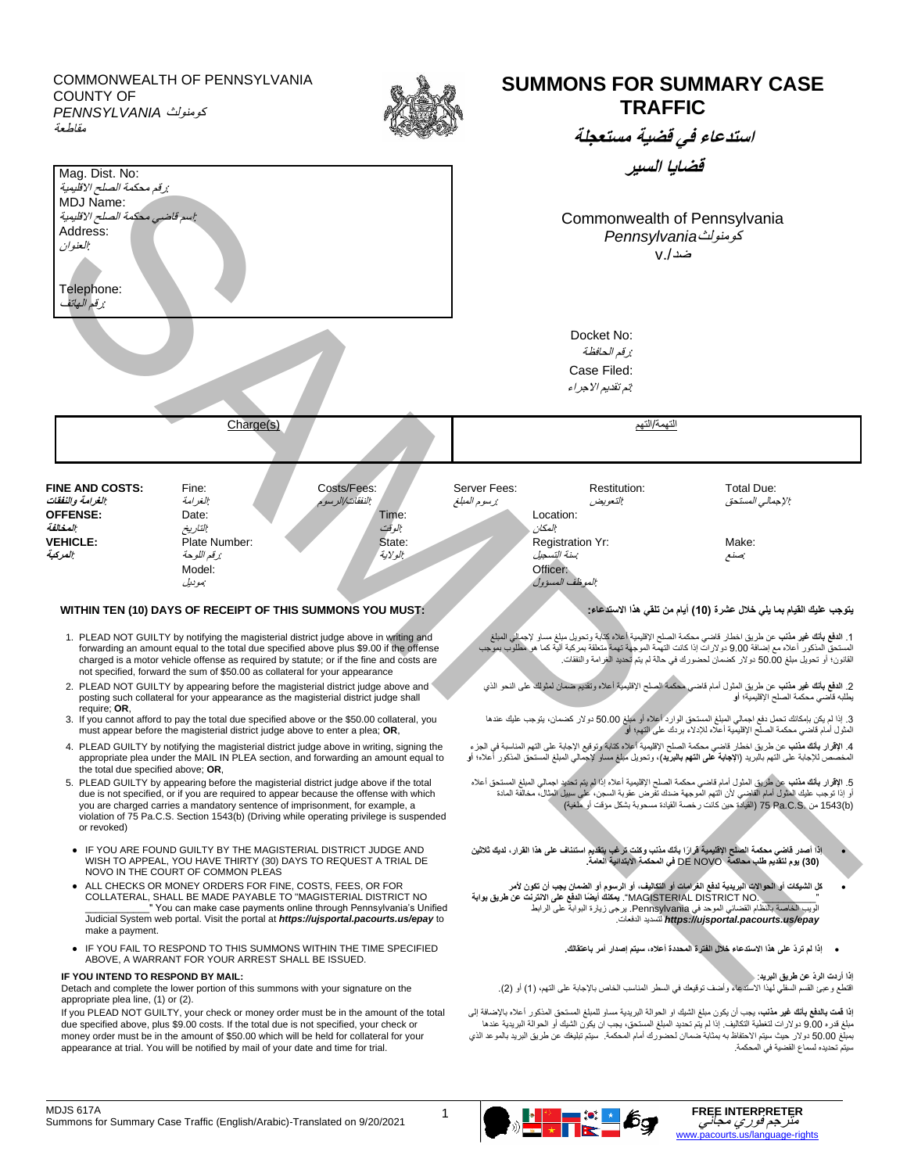COMMONWEALTH OF PENNSYLVANIA COUNTY OF كومنولث *PENNSYLVANIA* مقاطعة

Mag. Dist. No:  *:*رقم محكمة الصلح االقليمية MDJ Name:

Address: *:*العنوان

Telephone:

*:*رقم الهاتف

*:*اسم قاضي محكمة الصلح االقليمية



التهمة/التهم (s(Charge

## **SUMMONS FOR SUMMARY CASE TRAFFIC**

**استدعاء في قضية مستعجلة** 

**قضايا السير**

Commonwealth of Pennsylvania كومنولث *Pennsylvania* ضد./v

Docket No: *:*رقم الحافظة Case Filed: *:*تم تقديم االجراء

**FINE AND COSTS:** Fine: Costs/Fees: Server Fees: Restitution: Total Due: *:*اإلجمالي المستحق *:*التعويض *:*رسوم المبلغ *:*النفقات/الرسوم *:*الغرامة *:***الغرامة والنفقات** 

.1 **الدفع بأنك غير مذنب** عن طريق اخطار قاضي محكمة الصلح اإلقليمية أعاله كتابة وتحويل مبلغ مساو إلجمالي المبلغ المستحق المذكور أعاله مع إضافة 9.00 دوالرات إذا كانت التهمة الموجهة تهمة متعلقة بمركبة آلية كما هو مطلوب بموجب القانون؛ أو تحويل مبلغ 50.00 دوالر كضمان لحضورك في حالة لم يتم تحديد الغرامة والنفقات.

.2 **الدفع بأنك غير مذنب** عن طريق المثول أمام قاضي محكمة الصلح اإلقليمية أعاله وتقديم ضمان لمثولك على النحو الذي يطلبه قاضي محكمة الصلح اإلقليمية؛ **أو** 

.3 إذا لم يكن بإمكانك تحمل دفع اجمالي المبلغ المستحق الوارد أعاله أو مبلغ 50.00 دوالر كضمان، يتوجب عليك عندها المثول أمام قاضي محكمة الصلح اإلقليمية أعاله لإلدالء بردك على التهم؛ **أو**

.4 **اإلقرار بأنك مذنب** عن طريق اخطار قاضي محكمة الصلح اإلقليمية أعاله كتابة وتوقيع اإلجابة على التهم المناسبة في الجزء المخصص لإلجابة على التهم بالبريد (**اإلجابة على التهم بالبريد**)، وتحويل مبلغ مساو إلجمالي المبلغ المستحق المذكور أعاله؛ **أو** 

5. الإقرار **باتك مذنب** عن طريق المثول أمام قاضي محكمة الصلح الإقليمية أعلاه إذا لم يتم تحتيد اجمالي المبلغ المستحق أعلاه<br>أو إذا توجب عليك المثول أمام القاضي لأن التهم الموجهة صدك تفرض عقوبة السجن، على سبيل المثال، مخالفة (b(1543 من .S.C.Pa 75( القيادة حين كانت رخصة القيادة مسحوبة بشكل مؤقت أو ملغية(

- **ً إذا أصدر قاضي محكمة الصلح اإلقليمية قرارا بأنك مذنب وكنت ترغب بتقديم استئناف على هذا القرار، لديك ثالثين )30( يوم لتقديم طلب محاكمة** NOVO DE **في المحكمة االبتدائية العامة.**
- **كل الشيكات أو الحواالت البريدية لدفع الغرامات أو التكاليف، أو الرسوم أو الضمان يجب أن تكون ألمر** "\_\_\_\_\_\_\_\_\_\_ .NO DISTRICT MAGISTERIAL". **ً يمكنك أيضا الدفع على االنترنت عن طريق بوابة**  الويب الخاصة بالنظام القضائي الموحد في Pennsylvania. يرجى زيارة البوابة على الرابط .الدفعات لتسديد *https://ujsportal.pacourts.us/epay*
	- **إذا لم ترد على هذا االستدعاء خالل الفترة المحددة أعاله، سيتم إصدار أمر باعتقالك.**

**IF YOU INTEND TO RESPOND BY MAIL:** :**البريد طريق عن الرد أردت إذا** اقتطع وعبئ القسم السفلي لهذا الاستدعاء وأضف توقيعك في السطر المناسب الخاص بالإجابة على التهم، (1) أو (2).

> **إذا قمت بالدفع بأنك غير مذنب**، يجب أن يكون مبلغ الشيك او الحوالة البريدية مساو للمبلغ المستحق المذكور أعاله باإلضافة إلى مبلغ قدره 9.00 دوالرات لتغطية التكاليف. إذا لم يتم تحديد المبلغ المستحق، يجب ان يكون الشيك أو الحوالة البريدية عندها بمبلغ 50.00 دوالر حيث سيتم االحتفاظ به بمثابة ضماان لحضورك أمام المحكمة. سيتم تبليغك عن طريق البريد بالموعد الذي سيتم تحديده لسماع القضية في المحكمة.

**VEHICLE:** Plate Number: State: Registration Yr: Make: *:*صنع *:*سنة التسجيل *:*الوالية *:*رقم اللوحة *:***المركبة**  Model: Officer: Canadian Communication of the Communication of the Communication of the Communication of the Communication of the Communication of the Communication of the Communication of the Communication of the Communic *:*الموظف المسؤول *:*موديل **يتوجب عليك القيام بما يلي خالل عشرة )10( أيام من تلقي هذا االستدعاء: :MUST YOU SUMMONS THIS OF RECEIPT OF DAYS) 10 (TEN WITHIN** 1. PLEAD NOT GUILTY by notifying the magisterial district judge above in writing and forwarding an amount equal to the total due specified above plus \$9.00 if the offense charged is a motor vehicle offense as required by statute; or if the fine and costs are not specified, forward the sum of \$50.00 as collateral for your appearance 2. PLEAD NOT GUILTY by appearing before the magisterial district judge above and posting such collateral for your appearance as the magisterial district judge shall SAMPLE CONTRACT CONTRACT CONTRACT CONTRACT CONTRACT CONTRACT CONTRACT CONTRACT CONTRACT CONTRACT CONTRACT CONTRACT CONTRACT CONTRACT CONTRACT CONTRACT CONTRACT CONTRACT CONTRACT CONTRACT CONTRACT CONTRACT CONTRACT CONTRAC

**OFFENSE:** Date: Date: Date: Date: Time: Location: *:*المكان *:*الوقت *:*التاريخ *:***المخالفة**

- require; **OR**, 3. If you cannot afford to pay the total due specified above or the \$50.00 collateral, you must appear before the magisterial district judge above to enter a plea; **OR**,
- 4. PLEAD GUILTY by notifying the magisterial district judge above in writing, signing the appropriate plea under the MAIL IN PLEA section, and forwarding an amount equal to the total due specified above; **OR**,
- 5. PLEAD GUILTY by appearing before the magisterial district judge above if the total due is not specified, or if you are required to appear because the offense with which you are charged carries a mandatory sentence of imprisonment, for example, a violation of 75 Pa.C.S. Section 1543(b) (Driving while operating privilege is suspended or revoked)
- **IF YOU ARE FOUND GUILTY BY THE MAGISTERIAL DISTRICT JUDGE AND** WISH TO APPEAL, YOU HAVE THIRTY (30) DAYS TO REQUEST A TRIAL DE NOVO IN THE COURT OF COMMON PLEAS
- ALL CHECKS OR MONEY ORDERS FOR FINE, COSTS, FEES, OR FOR COLLATERAL, SHALL BE MADE PAYABLE TO "MAGISTERIAL DISTRICT NO You can make case payments online through Pennsylvania's Unified Judicial System web portal. Visit the portal at *https://ujsportal.pacourts.us/epay* to make a payment.
- **IF YOU FAIL TO RESPOND TO THIS SUMMONS WITHIN THE TIME SPECIFIED** ABOVE, A WARRANT FOR YOUR ARREST SHALL BE ISSUED.

Detach and complete the lower portion of this summons with your signature on the appropriate plea line, (1) or (2).

If you PLEAD NOT GUILTY, your check or money order must be in the amount of the total due specified above, plus \$9.00 costs. If the total due is not specified, your check or money order must be in the amount of \$50.00 which will be held for collateral for your appearance at trial. You will be notified by mail of your date and time for trial.